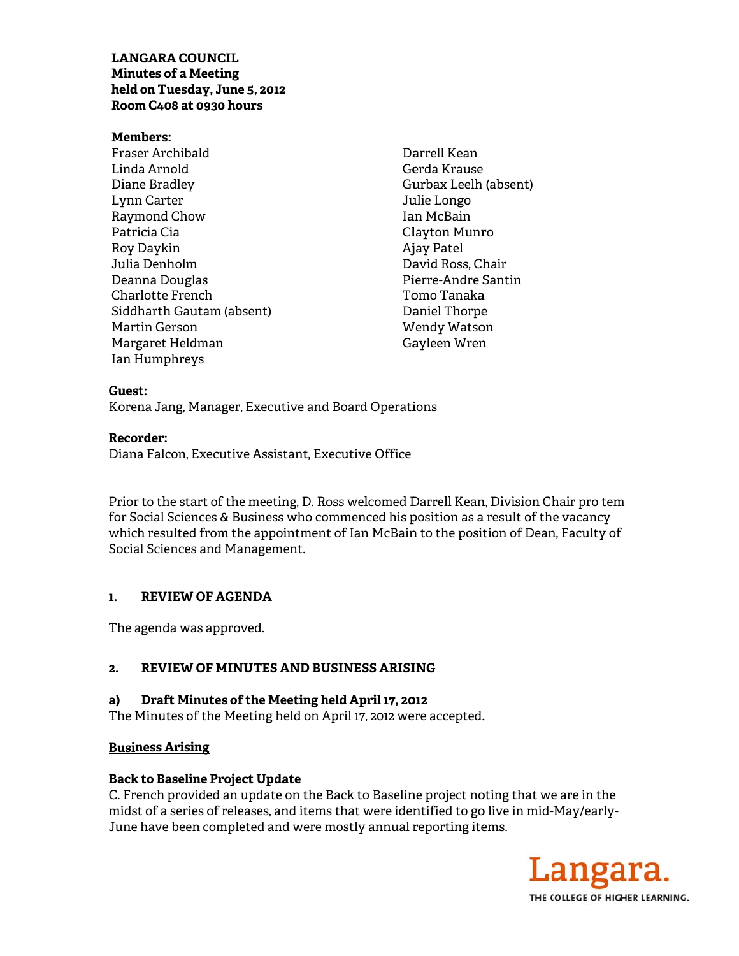# **LANGARA COUNCIL Minutes of a Meeting** held on Tuesday, June 5, 2012 Room C408 at 0930 hours

### **Members:**

Fraser Archibald Linda Arnold Diane Bradley Lynn Carter Raymond Chow Patricia Cia Rov Davkin Julia Denholm Deanna Douglas Charlotte French Siddharth Gautam (absent) Martin Gerson Margaret Heldman Ian Humphreys

Darrell Kean Gerda Krause Gurbax Leelh (absent) Julie Longo Ian McBain Clayton Munro Ajay Patel David Ross, Chair Pierre-Andre Santin Tomo Tanaka Daniel Thorpe Wendy Watson Gayleen Wren

### Guest:

Korena Jang, Manager, Executive and Board Operations

## **Recorder:**

Diana Falcon, Executive Assistant, Executive Office

Prior to the start of the meeting, D. Ross welcomed Darrell Kean, Division Chair pro tem for Social Sciences & Business who commenced his position as a result of the vacancy which resulted from the appointment of Ian McBain to the position of Dean, Faculty of Social Sciences and Management.

#### $\mathbf{1}$ . **REVIEW OF AGENDA**

The agenda was approved.

#### **REVIEW OF MINUTES AND BUSINESS ARISING**  $2.$

#### Draft Minutes of the Meeting held April 17, 2012 a)

The Minutes of the Meeting held on April 17, 2012 were accepted.

## **Business Arising**

## **Back to Baseline Project Update**

C. French provided an update on the Back to Baseline project noting that we are in the midst of a series of releases, and items that were identified to go live in mid-May/early-June have been completed and were mostly annual reporting items.

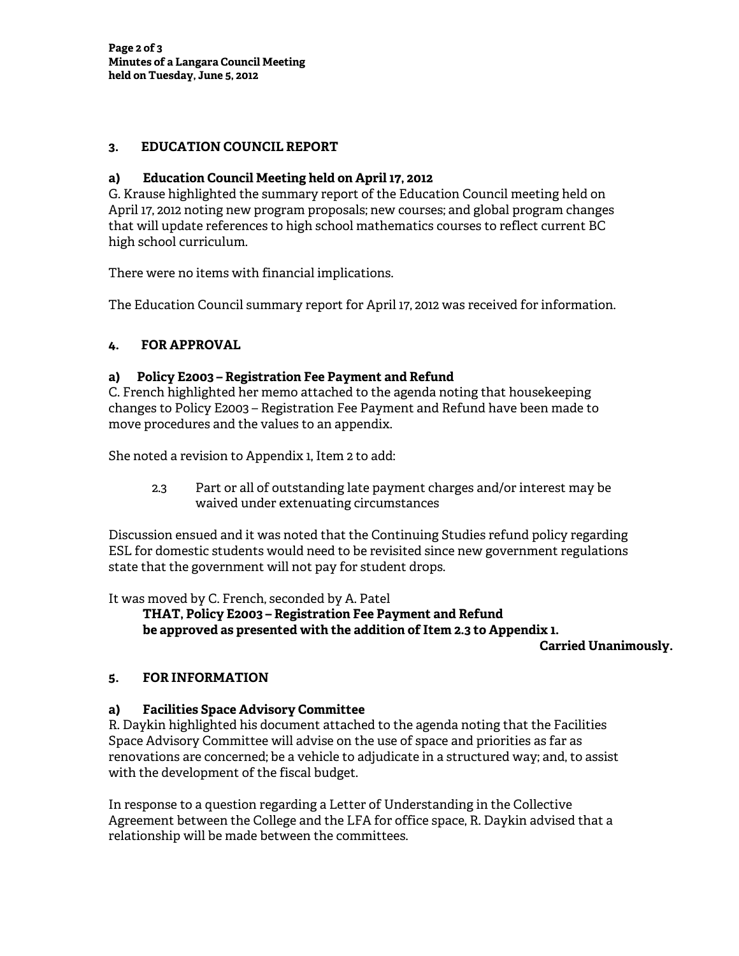## **3. EDUCATION COUNCIL REPORT**

## **a) Education Council Meeting held on April 17, 2012**

G. Krause highlighted the summary report of the Education Council meeting held on April 17, 2012 noting new program proposals; new courses; and global program changes that will update references to high school mathematics courses to reflect current BC high school curriculum.

There were no items with financial implications.

The Education Council summary report for April 17, 2012 was received for information.

# **4. FOR APPROVAL**

## **a) Policy E2003 – Registration Fee Payment and Refund**

C. French highlighted her memo attached to the agenda noting that housekeeping changes to Policy E2003 – Registration Fee Payment and Refund have been made to move procedures and the values to an appendix.

She noted a revision to Appendix 1, Item 2 to add:

 2.3 Part or all of outstanding late payment charges and/or interest may be waived under extenuating circumstances

Discussion ensued and it was noted that the Continuing Studies refund policy regarding ESL for domestic students would need to be revisited since new government regulations state that the government will not pay for student drops.

It was moved by C. French, seconded by A. Patel

 **THAT, Policy E2003 – Registration Fee Payment and Refund be approved as presented with the addition of Item 2.3 to Appendix 1.** 

**Carried Unanimously.** 

## **5. FOR INFORMATION**

## **a) Facilities Space Advisory Committee**

R. Daykin highlighted his document attached to the agenda noting that the Facilities Space Advisory Committee will advise on the use of space and priorities as far as renovations are concerned; be a vehicle to adjudicate in a structured way; and, to assist with the development of the fiscal budget.

In response to a question regarding a Letter of Understanding in the Collective Agreement between the College and the LFA for office space, R. Daykin advised that a relationship will be made between the committees.